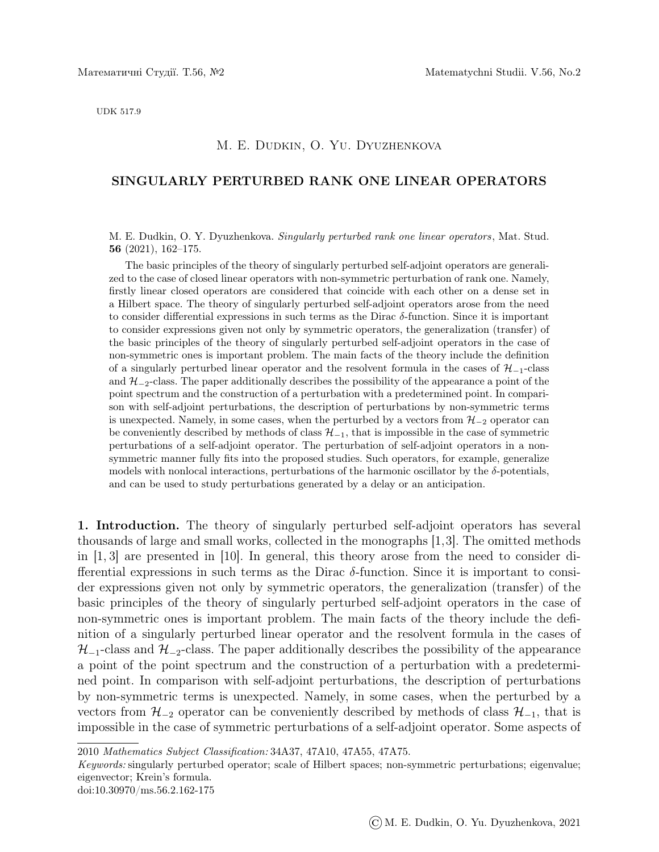UDK 517.9

## M. E. Dudkin, O. Yu. Dyuzhenkova

## SINGULARLY PERTURBED RANK ONE LINEAR OPERATORS

M. E. Dudkin, O. Y. Dyuzhenkova. Singularly perturbed rank one linear operators, Mat. Stud. 56 (2021), 162–175.

The basic principles of the theory of singularly perturbed self-adjoint operators are generalized to the case of closed linear operators with non-symmetric perturbation of rank one. Namely, firstly linear closed operators are considered that coincide with each other on a dense set in a Hilbert space. The theory of singularly perturbed self-adjoint operators arose from the need to consider differential expressions in such terms as the Dirac  $\delta$ -function. Since it is important to consider expressions given not only by symmetric operators, the generalization (transfer) of the basic principles of the theory of singularly perturbed self-adjoint operators in the case of non-symmetric ones is important problem. The main facts of the theory include the definition of a singularly perturbed linear operator and the resolvent formula in the cases of  $\mathcal{H}_{-1}$ -class and  $\mathcal{H}_{-2}$ -class. The paper additionally describes the possibility of the appearance a point of the point spectrum and the construction of a perturbation with a predetermined point. In comparison with self-adjoint perturbations, the description of perturbations by non-symmetric terms is unexpected. Namely, in some cases, when the perturbed by a vectors from  $\mathcal{H}_{-2}$  operator can be conveniently described by methods of class  $\mathcal{H}_{-1}$ , that is impossible in the case of symmetric perturbations of a self-adjoint operator. The perturbation of self-adjoint operators in a nonsymmetric manner fully fits into the proposed studies. Such operators, for example, generalize models with nonlocal interactions, perturbations of the harmonic oscillator by the  $\delta$ -potentials, and can be used to study perturbations generated by a delay or an anticipation.

1. Introduction. The theory of singularly perturbed self-adjoint operators has several thousands of large and small works, collected in the monographs [1,3]. The omitted methods in  $[1, 3]$  are presented in  $[10]$ . In general, this theory arose from the need to consider differential expressions in such terms as the Dirac  $\delta$ -function. Since it is important to consider expressions given not only by symmetric operators, the generalization (transfer) of the basic principles of the theory of singularly perturbed self-adjoint operators in the case of non-symmetric ones is important problem. The main facts of the theory include the definition of a singularly perturbed linear operator and the resolvent formula in the cases of  $\mathcal{H}_{-1}$ -class and  $\mathcal{H}_{-2}$ -class. The paper additionally describes the possibility of the appearance a point of the point spectrum and the construction of a perturbation with a predetermined point. In comparison with self-adjoint perturbations, the description of perturbations by non-symmetric terms is unexpected. Namely, in some cases, when the perturbed by a vectors from  $\mathcal{H}_{-2}$  operator can be conveniently described by methods of class  $\mathcal{H}_{-1}$ , that is impossible in the case of symmetric perturbations of a self-adjoint operator. Some aspects of

2010 Mathematics Subject Classification: 34A37, 47A10, 47A55, 47A75.

Keywords: singularly perturbed operator; scale of Hilbert spaces; non-symmetric perturbations; eigenvalue; eigenvector; Krein's formula.

doi:10.30970/ms.56.2.162-175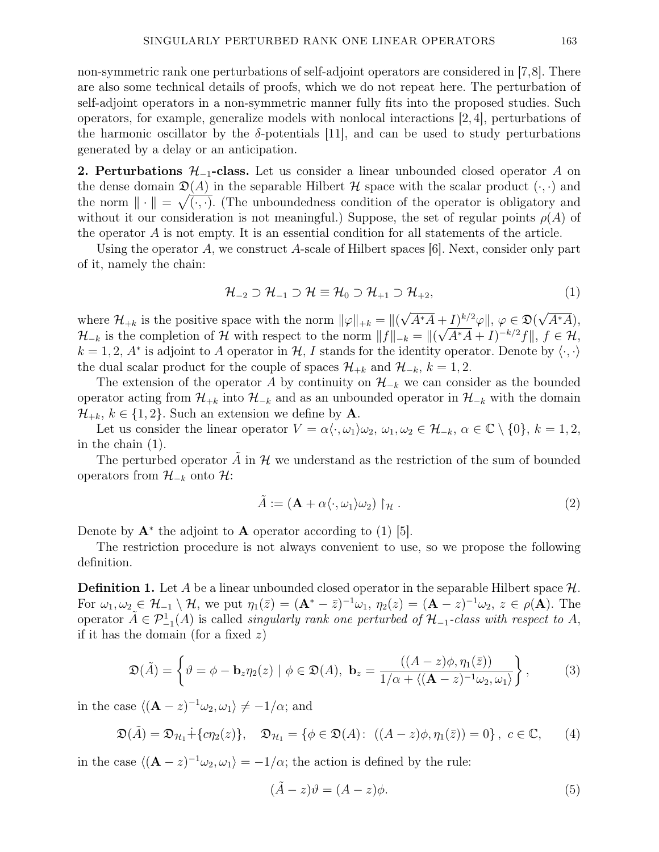non-symmetric rank one perturbations of self-adjoint operators are considered in [7,8]. There are also some technical details of proofs, which we do not repeat here. The perturbation of self-adjoint operators in a non-symmetric manner fully fits into the proposed studies. Such operators, for example, generalize models with nonlocal interactions [2, 4], perturbations of the harmonic oscillator by the  $\delta$ -potentials [11], and can be used to study perturbations generated by a delay or an anticipation.

2. Perturbations  $\mathcal{H}_{-1}$ -class. Let us consider a linear unbounded closed operator A on the dense domain  $\mathfrak{D}(A)$  in the separable Hilbert H space with the scalar product  $(\cdot, \cdot)$  and the norm  $\|\cdot\| = \sqrt{(\cdot,\cdot)}$ . (The unboundedness condition of the operator is obligatory and without it our consideration is not meaningful.) Suppose, the set of regular points  $\rho(A)$  of the operator A is not empty. It is an essential condition for all statements of the article.

Using the operator A, we construct A-scale of Hilbert spaces  $|6|$ . Next, consider only part of it, namely the chain:

$$
\mathcal{H}_{-2} \supset \mathcal{H}_{-1} \supset \mathcal{H} \equiv \mathcal{H}_0 \supset \mathcal{H}_{+1} \supset \mathcal{H}_{+2},\tag{1}
$$

where  $\mathcal{H}_{+k}$  is the positive space with the norm  $\|\varphi\|_{+k} = \|f\|$ √  $\overline{A^*A}+I)^{k/2}\varphi\|, \varphi\in\mathfrak{D}($ √  $+\underline{I})^{k/2}\varphi\|, \varphi \in \mathfrak{D}(\sqrt{A^*A}),$  $\mathcal{H}_{-k}$  is the completion of H with respect to the norm  $||f||_{-k} = ||(\sqrt{A^*A} + I)^{-k/2}f||, f \in \mathcal{H}$ ,  $k = 1, 2, A^*$  is adjoint to A operator in H, I stands for the identity operator. Denote by  $\langle \cdot, \cdot \rangle$ the dual scalar product for the couple of spaces  $\mathcal{H}_{+k}$  and  $\mathcal{H}_{-k}$ ,  $k = 1, 2$ .

The extension of the operator A by continuity on  $\mathcal{H}_{-k}$  we can consider as the bounded operator acting from  $\mathcal{H}_{+k}$  into  $\mathcal{H}_{-k}$  and as an unbounded operator in  $\mathcal{H}_{-k}$  with the domain  $\mathcal{H}_{+k}, k \in \{1,2\}$ . Such an extension we define by **A**.

Let us consider the linear operator  $V = \alpha \langle \cdot, \omega_1 \rangle \omega_2, \omega_1, \omega_2 \in \mathcal{H}_{-k}, \alpha \in \mathbb{C} \setminus \{0\}, k = 1, 2$ , in the chain (1).

The perturbed operator  $\tilde{A}$  in  $\mathcal{H}$  we understand as the restriction of the sum of bounded operators from  $\mathcal{H}_{-k}$  onto  $\mathcal{H}$ :

$$
\tilde{A} := (\mathbf{A} + \alpha \langle \cdot, \omega_1 \rangle \omega_2) \upharpoonright_{\mathcal{H}} . \tag{2}
$$

Denote by  $\mathbf{A}^*$  the adjoint to  $\mathbf{A}$  operator according to (1) [5].

The restriction procedure is not always convenient to use, so we propose the following definition.

**Definition 1.** Let A be a linear unbounded closed operator in the separable Hilbert space  $\mathcal{H}$ . For  $\omega_1, \omega_2 \in \mathcal{H}_{-1} \setminus \mathcal{H}$ , we put  $\eta_1(\bar{z}) = (\mathbf{A}^* - \bar{z})^{-1} \omega_1$ ,  $\eta_2(z) = (\mathbf{A} - z)^{-1} \omega_2$ ,  $z \in \rho(\mathbf{A})$ . The operator  $\tilde{A} \in \mathcal{P}_{-1}^1(A)$  is called *singularly rank one perturbed of*  $\mathcal{H}_{-1}$ -class with respect to A, if it has the domain (for a fixed  $z$ )

$$
\mathfrak{D}(\tilde{A}) = \left\{ \vartheta = \phi - \mathbf{b}_z \eta_2(z) \mid \phi \in \mathfrak{D}(A), \ \mathbf{b}_z = \frac{((A - z)\phi, \eta_1(\bar{z}))}{1/\alpha + \langle (\mathbf{A} - z)^{-1} \omega_2, \omega_1 \rangle} \right\},\tag{3}
$$

in the case  $\langle (\mathbf{A} - z)^{-1} \omega_2, \omega_1 \rangle \neq -1/\alpha$ ; and

$$
\mathfrak{D}(\tilde{A}) = \mathfrak{D}_{\mathcal{H}_1} + \{c\eta_2(z)\}, \quad \mathfrak{D}_{\mathcal{H}_1} = \{ \phi \in \mathfrak{D}(A): \ ((A - z)\phi, \eta_1(\bar{z})) = 0 \}, \ c \in \mathbb{C}, \tag{4}
$$

in the case  $\langle (\mathbf{A} - z)^{-1} \omega_2, \omega_1 \rangle = -1/\alpha$ ; the action is defined by the rule:

$$
(\tilde{A} - z)\theta = (A - z)\phi.
$$
\n(5)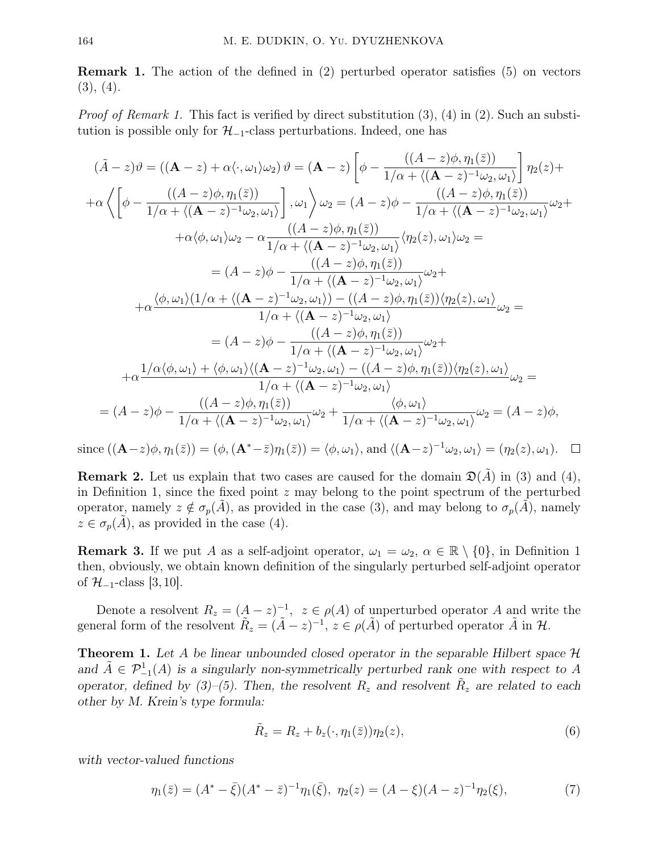Remark 1. The action of the defined in (2) perturbed operator satisfies (5) on vectors  $(3), (4).$ 

*Proof of Remark 1.* This fact is verified by direct substitution  $(3)$ ,  $(4)$  in  $(2)$ . Such an substitution is possible only for  $\mathcal{H}_{-1}$ -class perturbations. Indeed, one has

$$
(\tilde{A} - z)\vartheta = ((\mathbf{A} - z) + \alpha \langle \cdot, \omega_1 \rangle \omega_2) \vartheta = (\mathbf{A} - z) \left[ \phi - \frac{((A - z)\phi, \eta_1(\bar{z}))}{1/\alpha + \langle (\mathbf{A} - z)^{-1} \omega_2, \omega_1 \rangle} \right] \eta_2(z) +
$$
  
+
$$
\alpha \left\langle \left[ \phi - \frac{((A - z)\phi, \eta_1(\bar{z}))}{1/\alpha + \langle (\mathbf{A} - z)^{-1} \omega_2, \omega_1 \rangle} \right], \omega_1 \right\rangle \omega_2 = (A - z)\phi - \frac{((A - z)\phi, \eta_1(\bar{z}))}{1/\alpha + \langle (\mathbf{A} - z)^{-1} \omega_2, \omega_1 \rangle} \omega_2 +
$$
  
+
$$
\alpha \langle \phi, \omega_1 \rangle \omega_2 - \alpha \frac{((A - z)\phi, \eta_1(\bar{z}))}{1/\alpha + \langle (\mathbf{A} - z)^{-1} \omega_2, \omega_1 \rangle} \langle \eta_2(z), \omega_1 \rangle \omega_2 =
$$
  
= 
$$
(A - z)\phi - \frac{((A - z)\phi, \eta_1(\bar{z}))}{1/\alpha + \langle (\mathbf{A} - z)^{-1} \omega_2, \omega_1 \rangle} \omega_2 +
$$
  
+
$$
\alpha \frac{\langle \phi, \omega_1 \rangle (1/\alpha + \langle (\mathbf{A} - z)^{-1} \omega_2, \omega_1 \rangle) - ((A - z)\phi, \eta_1(\bar{z})) \langle \eta_2(z), \omega_1 \rangle}{1/\alpha + \langle (\mathbf{A} - z)^{-1} \omega_2, \omega_1 \rangle} \omega_2 =
$$
  
= 
$$
(A - z)\phi - \frac{((A - z)\phi, \eta_1(\bar{z}))}{1/\alpha + \langle (\mathbf{A} - z)^{-1} \omega_2, \omega_1 \rangle} \omega_2 +
$$
  
+
$$
\alpha \frac{1/\alpha \langle \phi, \omega_1 \rangle + \langle \phi, \omega_1 \rangle \langle (\mathbf{A} - z)^{-1} \omega_2, \omega_1 \rangle - ((A - z)\phi, \eta_1(\bar{z})) \langle \eta_2(z), \omega_1 \rangle}{1/\alpha + \langle (\mathbf{A} - z)^{-1} \omega_2, \omega
$$

since  $((\mathbf{A}-z)\phi, \eta_1(\bar{z})) = (\phi, (\mathbf{A}^*-\bar{z})\eta_1(\bar{z})) = \langle \phi, \omega_1 \rangle$ , and  $\langle (\mathbf{A}-z)^{-1}\omega_2, \omega_1 \rangle = (\eta_2(z), \omega_1)$ .  $\Box$ 

**Remark 2.** Let us explain that two cases are caused for the domain  $\mathfrak{D}(A)$  in (3) and (4), in Definition 1, since the fixed point  $z$  may belong to the point spectrum of the perturbed operator, namely  $z \notin \sigma_p(\tilde{A})$ , as provided in the case (3), and may belong to  $\sigma_p(\tilde{A})$ , namely  $z \in \sigma_p(A)$ , as provided in the case (4).

**Remark 3.** If we put A as a self-adjoint operator,  $\omega_1 = \omega_2$ ,  $\alpha \in \mathbb{R} \setminus \{0\}$ , in Definition 1 then, obviously, we obtain known definition of the singularly perturbed self-adjoint operator of  $\mathcal{H}_{-1}$ -class [3, 10].

Denote a resolvent  $R_z = (A - z)^{-1}$ ,  $z \in \rho(A)$  of unperturbed operator A and write the general form of the resolvent  $\tilde{R}_z = (\tilde{A} - z)^{-1}$ ,  $z \in \rho(\tilde{A})$  of perturbed operator  $\tilde{A}$  in  $\mathcal{H}$ .

**Theorem 1.** Let A be linear unbounded closed operator in the separable Hilbert space H and  $\tilde{A} \in \mathcal{P}_{-1}^1(A)$  is a singularly non-symmetrically perturbed rank one with respect to A operator, defined by (3)–(5). Then, the resolvent  $R_z$  and resolvent  $\tilde{R}_z$  are related to each other by M. Krein's type formula:

$$
\tilde{R}_z = R_z + b_z(\cdot, \eta_1(\bar{z}))\eta_2(z),\tag{6}
$$

with vector-valued functions

$$
\eta_1(\bar{z}) = (A^* - \bar{\xi})(A^* - \bar{z})^{-1}\eta_1(\bar{\xi}), \ \eta_2(z) = (A - \xi)(A - z)^{-1}\eta_2(\xi), \tag{7}
$$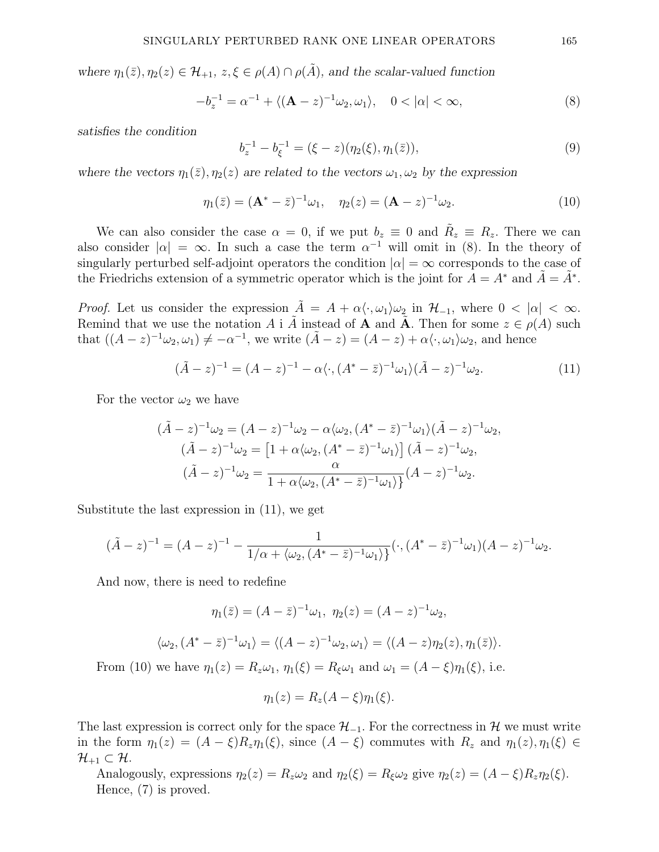where  $\eta_1(\bar{z}), \eta_2(z) \in \mathcal{H}_{+1}, z, \xi \in \rho(A) \cap \rho(\tilde{A}),$  and the scalar-valued function

$$
-b_z^{-1} = \alpha^{-1} + \langle (\mathbf{A} - z)^{-1} \omega_2, \omega_1 \rangle, \quad 0 < |\alpha| < \infty,
$$
\n<sup>(8)</sup>

satisfies the condition

$$
b_z^{-1} - b_{\xi}^{-1} = (\xi - z)(\eta_2(\xi), \eta_1(\bar{z})), \tag{9}
$$

where the vectors  $\eta_1(\bar{z}), \eta_2(z)$  are related to the vectors  $\omega_1, \omega_2$  by the expression

$$
\eta_1(\bar{z}) = (\mathbf{A}^* - \bar{z})^{-1}\omega_1, \quad \eta_2(z) = (\mathbf{A} - z)^{-1}\omega_2.
$$
 (10)

We can also consider the case  $\alpha = 0$ , if we put  $b_z \equiv 0$  and  $\tilde{R}_z \equiv R_z$ . There we can also consider  $|\alpha| = \infty$ . In such a case the term  $\alpha^{-1}$  will omit in (8). In the theory of singularly perturbed self-adjoint operators the condition  $|\alpha| = \infty$  corresponds to the case of the Friedrichs extension of a symmetric operator which is the joint for  $A = A^*$  and  $\tilde{A} = \tilde{A}^*$ .

*Proof.* Let us consider the expression  $\tilde{A} = A + \alpha \langle \cdot, \omega_1 \rangle \omega_2$  in  $\mathcal{H}_{-1}$ , where  $0 < |\alpha| < \infty$ . Remind that we use the notation A i  $\tilde{A}$  instead of **A** and  $\tilde{A}$ . Then for some  $z \in \rho(A)$  such that  $((A-z)^{-1}\omega_2,\omega_1) \neq -\alpha^{-1}$ , we write  $(\tilde{A}-z) = (A-z) + \alpha \langle \cdot, \omega_1 \rangle \omega_2$ , and hence

$$
(\tilde{A} - z)^{-1} = (A - z)^{-1} - \alpha \langle \cdot, (A^* - \bar{z})^{-1} \omega_1 \rangle (\tilde{A} - z)^{-1} \omega_2.
$$
 (11)

For the vector  $\omega_2$  we have

$$
(\tilde{A} - z)^{-1} \omega_2 = (A - z)^{-1} \omega_2 - \alpha \langle \omega_2, (A^* - \bar{z})^{-1} \omega_1 \rangle (\tilde{A} - z)^{-1} \omega_2, (\tilde{A} - z)^{-1} \omega_2 = [1 + \alpha \langle \omega_2, (A^* - \bar{z})^{-1} \omega_1 \rangle] (\tilde{A} - z)^{-1} \omega_2, (\tilde{A} - z)^{-1} \omega_2 = \frac{\alpha}{1 + \alpha \langle \omega_2, (A^* - \bar{z})^{-1} \omega_1 \rangle} (A - z)^{-1} \omega_2.
$$

Substitute the last expression in (11), we get

$$
(\tilde{A} - z)^{-1} = (A - z)^{-1} - \frac{1}{1/\alpha + \langle \omega_2, (A^* - \bar{z})^{-1} \omega_1 \rangle} (\cdot, (A^* - \bar{z})^{-1} \omega_1)(A - z)^{-1} \omega_2.
$$

And now, there is need to redefine

$$
\eta_1(\bar{z}) = (A - \bar{z})^{-1}\omega_1, \ \eta_2(z) = (A - z)^{-1}\omega_2,
$$
  

$$
\langle \omega_2, (A^* - \bar{z})^{-1}\omega_1 \rangle = \langle (A - z)^{-1}\omega_2, \omega_1 \rangle = \langle (A - z)\eta_2(z), \eta_1(\bar{z}) \rangle.
$$

From (10) we have  $\eta_1(z) = R_z \omega_1$ ,  $\eta_1(\xi) = R_{\xi} \omega_1$  and  $\omega_1 = (A - \xi)\eta_1(\xi)$ , i.e.

$$
\eta_1(z) = R_z(A - \xi)\eta_1(\xi).
$$

The last expression is correct only for the space  $\mathcal{H}_{-1}$ . For the correctness in  $\mathcal{H}$  we must write in the form  $\eta_1(z) = (A - \xi)R_z\eta_1(\xi)$ , since  $(A - \xi)$  commutes with  $R_z$  and  $\eta_1(z), \eta_1(\xi) \in$  $\mathcal{H}_{+1}\subset \mathcal{H}.$ 

Analogously, expressions  $\eta_2(z) = R_z \omega_2$  and  $\eta_2(\xi) = R_{\xi} \omega_2$  give  $\eta_2(z) = (A - \xi)R_z \eta_2(\xi)$ . Hence, (7) is proved.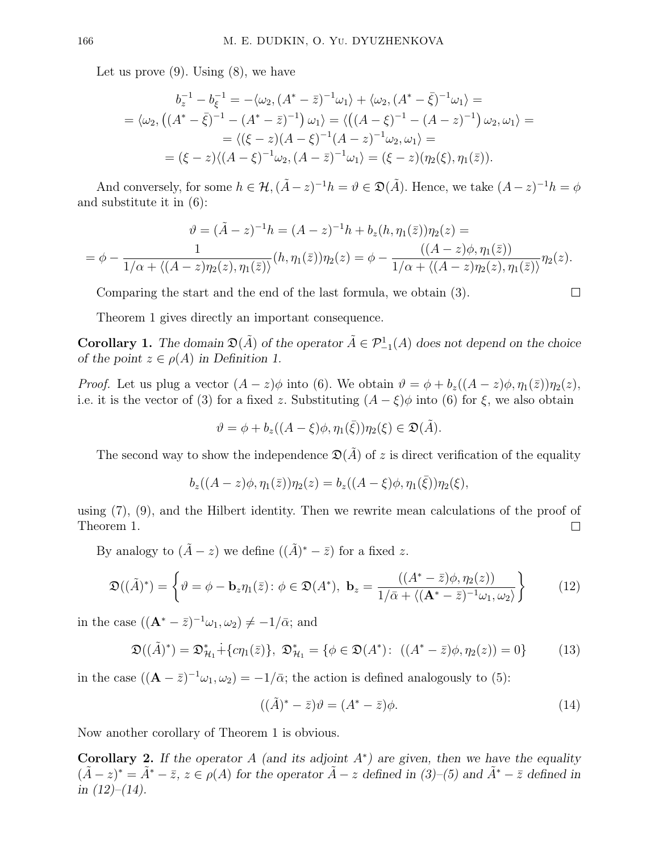Let us prove  $(9)$ . Using  $(8)$ , we have

$$
b_z^{-1} - b_{\xi}^{-1} = -\langle \omega_2, (A^* - \bar{z})^{-1} \omega_1 \rangle + \langle \omega_2, (A^* - \bar{\xi})^{-1} \omega_1 \rangle =
$$
  
=  $\langle \omega_2, ((A^* - \bar{\xi})^{-1} - (A^* - \bar{z})^{-1}) \omega_1 \rangle = \langle ((A - \xi)^{-1} - (A - z)^{-1}) \omega_2, \omega_1 \rangle =$   
=  $\langle (\xi - z)(A - \xi)^{-1}(A - z)^{-1} \omega_2, \omega_1 \rangle =$   
=  $(\xi - z)\langle (A - \xi)^{-1} \omega_2, (A - \bar{z})^{-1} \omega_1 \rangle = (\xi - z)(\eta_2(\xi), \eta_1(\bar{z})).$ 

And conversely, for some  $h \in \mathcal{H}, (\tilde{A} - z)^{-1}h = \vartheta \in \mathfrak{D}(\tilde{A})$ . Hence, we take  $(A - z)^{-1}h = \varphi$ and substitute it in (6):

$$
\vartheta = (\tilde{A} - z)^{-1}h = (A - z)^{-1}h + b_z(h, \eta_1(\bar{z}))\eta_2(z) =
$$
  
= 
$$
\phi - \frac{1}{1/\alpha + \langle (A - z)\eta_2(z), \eta_1(\bar{z})\rangle} (h, \eta_1(\bar{z}))\eta_2(z) = \phi - \frac{((A - z)\phi, \eta_1(\bar{z}))}{1/\alpha + \langle (A - z)\eta_2(z), \eta_1(\bar{z})\rangle}\eta_2(z).
$$

Comparing the start and the end of the last formula, we obtain (3).

Theorem 1 gives directly an important consequence.

**Corollary 1.** The domain  $\mathfrak{D}(\tilde{A})$  of the operator  $\tilde{A} \in \mathcal{P}_{-1}^1(A)$  does not depend on the choice of the point  $z \in \rho(A)$  in Definition 1.

*Proof.* Let us plug a vector  $(A - z)\phi$  into (6). We obtain  $\vartheta = \phi + b_z((A - z)\phi, \eta_1(\bar{z}))\eta_2(z)$ , i.e. it is the vector of (3) for a fixed z. Substituting  $(A - \xi)\phi$  into (6) for  $\xi$ , we also obtain

$$
\vartheta = \phi + b_z((A - \xi)\phi, \eta_1(\bar{\xi}))\eta_2(\xi) \in \mathfrak{D}(\tilde{A}).
$$

The second way to show the independence  $\mathfrak{D}(\tilde{A})$  of z is direct verification of the equality

$$
b_z((A-z)\phi, \eta_1(\bar{z}))\eta_2(z) = b_z((A-\xi)\phi, \eta_1(\bar{\xi}))\eta_2(\xi),
$$

using (7), (9), and the Hilbert identity. Then we rewrite mean calculations of the proof of Theorem 1.  $\Box$ 

By analogy to  $(\tilde{A} - z)$  we define  $((\tilde{A})^* - \overline{z})$  for a fixed z.

$$
\mathfrak{D}((\tilde{A})^*) = \left\{ \vartheta = \phi - \mathbf{b}_z \eta_1(\bar{z}) : \phi \in \mathfrak{D}(A^*), \ \mathbf{b}_z = \frac{((A^* - \bar{z})\phi, \eta_2(z))}{1/\bar{\alpha} + \langle (\mathbf{A}^* - \bar{z})^{-1}\omega_1, \omega_2 \rangle} \right\}
$$
(12)

in the case  $((\mathbf{A}^* - \bar{z})^{-1}\omega_1, \omega_2) \neq -1/\bar{\alpha}$ ; and

$$
\mathfrak{D}((\tilde{A})^*) = \mathfrak{D}_{\mathcal{H}_1}^* + \{c\eta_1(\bar{z})\}, \ \mathfrak{D}_{\mathcal{H}_1}^* = \{ \phi \in \mathfrak{D}(A^*) : \ ((A^* - \bar{z})\phi, \eta_2(z)) = 0 \}
$$
(13)

in the case  $((\mathbf{A} - \bar{z})^{-1}\omega_1, \omega_2) = -1/\bar{\alpha}$ ; the action is defined analogously to (5):

$$
((\tilde{A})^* - \bar{z})\vartheta = (A^* - \bar{z})\phi.
$$
\n(14)

 $\Box$ 

Now another corollary of Theorem 1 is obvious.

Corollary 2. If the operator A (and its adjoint  $A^*$ ) are given, then we have the equality  $(\tilde{A} - z)^* = \tilde{A}^* - \bar{z}, z \in \rho(A)$  for the operator  $\tilde{A} - z$  defined in (3)–(5) and  $\tilde{A}^* - \bar{z}$  defined in in  $(12)–(14)$ .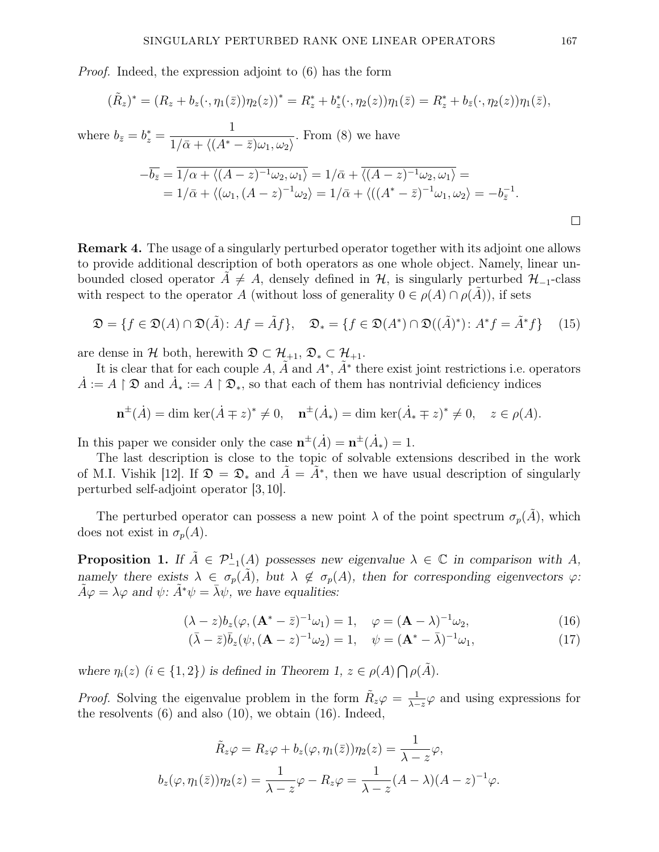Proof. Indeed, the expression adjoint to (6) has the form

$$
(\tilde{R}_z)^* = (R_z + b_z(\cdot, \eta_1(\bar{z}))\eta_2(z))^* = R_z^* + b_z^*(\cdot, \eta_2(z))\eta_1(\bar{z}) = R_z^* + b_{\bar{z}}(\cdot, \eta_2(z))\eta_1(\bar{z}),
$$

where 
$$
b_{\bar{z}} = b_z^* = \frac{1}{1/\bar{\alpha} + \langle (A^* - \bar{z})\omega_1, \omega_2 \rangle}
$$
. From (8) we have  
\n
$$
-\overline{b_{\bar{z}}} = \frac{1}{1/\alpha + \langle (A - z)^{-1}\omega_2, \omega_1 \rangle} = 1/\bar{\alpha} + \overline{\langle (A - z)^{-1}\omega_2, \omega_1 \rangle} = 1/\bar{\alpha} + \langle (\omega_1, (A - z)^{-1}\omega_2 \rangle) = 1/\bar{\alpha} + \langle ((A^* - \bar{z})^{-1}\omega_1, \omega_2 \rangle) = -b_{\bar{z}}^{-1}.
$$

Remark 4. The usage of a singularly perturbed operator together with its adjoint one allows to provide additional description of both operators as one whole object. Namely, linear unbounded closed operator  $A \neq A$ , densely defined in H, is singularly perturbed  $\mathcal{H}_{-1}$ -class with respect to the operator A (without loss of generality  $0 \in \rho(A) \cap \rho(A)$ ), if sets

$$
\mathfrak{D} = \{ f \in \mathfrak{D}(A) \cap \mathfrak{D}(\tilde{A}) : Af = \tilde{A}f \}, \quad \mathfrak{D}_* = \{ f \in \mathfrak{D}(A^*) \cap \mathfrak{D}((\tilde{A})^*) : A^*f = \tilde{A}^*f \} \tag{15}
$$

are dense in H both, herewith  $\mathfrak{D} \subset \mathcal{H}_{+1}$ ,  $\mathfrak{D}_* \subset \mathcal{H}_{+1}$ .

It is clear that for each couple A,  $\tilde{A}$  and  $A^*$ ,  $\tilde{A}^*$  there exist joint restrictions i.e. operators  $\dot{A} := A \upharpoonright \mathfrak{D}$  and  $\dot{A}_* := A \upharpoonright \mathfrak{D}_*$ , so that each of them has nontrivial deficiency indices

$$
\mathbf{n}^{\pm}(\dot{A}) = \dim \ker(\dot{A} \mp z)^{*} \neq 0, \quad \mathbf{n}^{\pm}(\dot{A}_{*}) = \dim \ker(\dot{A}_{*} \mp z)^{*} \neq 0, \quad z \in \rho(A).
$$

In this paper we consider only the case  $\mathbf{n}^{\pm}(\dot{A}) = \mathbf{n}^{\pm}(\dot{A}_*) = 1$ .

The last description is close to the topic of solvable extensions described in the work of M.I. Vishik [12]. If  $\mathfrak{D} = \mathfrak{D}_*$  and  $\tilde{A} = \tilde{A}^*$ , then we have usual description of singularly perturbed self-adjoint operator [3, 10].

The perturbed operator can possess a new point  $\lambda$  of the point spectrum  $\sigma_p(\tilde{A})$ , which does not exist in  $\sigma_p(A)$ .

**Proposition 1.** If  $\tilde{A} \in \mathcal{P}_{-1}^1(A)$  possesses new eigenvalue  $\lambda \in \mathbb{C}$  in comparison with A, namely there exists  $\lambda \in \sigma_p(\tilde{A})$ , but  $\lambda \notin \sigma_p(A)$ , then for corresponding eigenvectors  $\varphi$ :  $\tilde{A}\varphi = \lambda\varphi$  and  $\psi$ :  $\tilde{A}^*\psi = \bar{\lambda}\psi$ , we have equalities:

$$
(\lambda - z)b_z(\varphi, (\mathbf{A}^* - \bar{z})^{-1}\omega_1) = 1, \quad \varphi = (\mathbf{A} - \lambda)^{-1}\omega_2,
$$
\n(16)

$$
(\bar{\lambda} - \bar{z})\bar{b}_z(\psi, (\mathbf{A} - z)^{-1}\omega_2) = 1, \quad \psi = (\mathbf{A}^* - \bar{\lambda})^{-1}\omega_1,\tag{17}
$$

where  $\eta_i(z)$   $(i \in \{1,2\})$  is defined in Theorem 1,  $z \in \rho(A) \bigcap \rho(\tilde{A})$ .

*Proof.* Solving the eigenvalue problem in the form  $\tilde{R}_z \varphi = \frac{1}{\lambda - \epsilon}$  $\frac{1}{\lambda-z}\varphi$  and using expressions for the resolvents (6) and also (10), we obtain (16). Indeed,

$$
\tilde{R}_z \varphi = R_z \varphi + b_z(\varphi, \eta_1(\bar{z})) \eta_2(z) = \frac{1}{\lambda - z} \varphi,
$$
  

$$
b_z(\varphi, \eta_1(\bar{z})) \eta_2(z) = \frac{1}{\lambda - z} \varphi - R_z \varphi = \frac{1}{\lambda - z} (A - \lambda)(A - z)^{-1} \varphi.
$$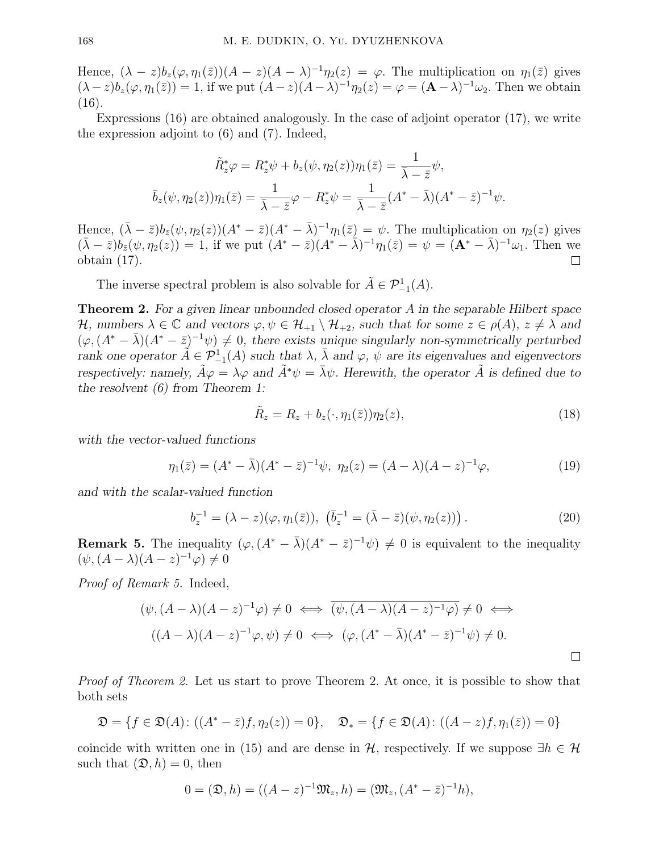Hence,  $(\lambda - z) b_z(\varphi, \eta_1(\bar{z})) (A - z) (A - \lambda)^{-1} \eta_2(z) = \varphi$ . The multiplication on  $\eta_1(\bar{z})$  gives  $(\lambda - z) b_z(\varphi, \eta_1(\bar{z})) = 1$ , if we put  $(A - z)(A - \lambda)^{-1} \eta_2(z) = \varphi = (\mathbf{A} - \lambda)^{-1} \omega_2$ . Then we obtain  $(16).$ 

Expressions (16) are obtained analogously. In the case of adjoint operator (17), we write the expression adjoint to (6) and (7). Indeed,

$$
\tilde{R}_z^* \varphi = R_z^* \psi + b_z(\psi, \eta_2(z)) \eta_1(\bar{z}) = \frac{1}{\bar{\lambda} - \bar{z}} \psi,
$$
  

$$
\bar{b}_z(\psi, \eta_2(z)) \eta_1(\bar{z}) = \frac{1}{\bar{\lambda} - \bar{z}} \varphi - R_z^* \psi = \frac{1}{\bar{\lambda} - \bar{z}} (A^* - \bar{\lambda}) (A^* - \bar{z})^{-1} \psi.
$$

Hence,  $(\bar{\lambda} - \bar{z})b_{\bar{z}}(\psi, \eta_2(z))(A^* - \bar{z})(A^* - \bar{\lambda})^{-1}\eta_1(\bar{z}) = \psi$ . The multiplication on  $\eta_2(z)$  gives  $(\bar{\lambda}-\bar{z})b_{\bar{z}}(\psi,\eta_2(z))=1$ , if we put  $(A^*-\bar{z})(A^*-\bar{\lambda})^{-1}\eta_1(\bar{z})=\psi=(\mathbf{A}^*-\bar{\lambda})^{-1}\omega_1$ . Then we obtain (17).  $\Box$ 

The inverse spectral problem is also solvable for  $\tilde{A} \in \mathcal{P}^1_{-1}(A)$ .

**Theorem 2.** For a given linear unbounded closed operator A in the separable Hilbert space H, numbers  $\lambda \in \mathbb{C}$  and vectors  $\varphi, \psi \in \mathcal{H}_{+1} \setminus \mathcal{H}_{+2}$ , such that for some  $z \in \rho(A)$ ,  $z \neq \lambda$  and  $(\varphi, (A^* - \bar{\lambda})(A^* - \bar{z})^{-1}\psi) \neq 0$ , there exists unique singularly non-symmetrically perturbed rank one operator  $\tilde{A} \in \mathcal{P}_{-1}^1(A)$  such that  $\lambda$ ,  $\bar{\lambda}$  and  $\varphi$ ,  $\bar{\psi}$  are its eigenvalues and eigenvectors respectively: namely,  $\tilde{A}\varphi = \lambda\varphi$  and  $\tilde{A}^*\psi = \bar{\lambda}\psi$ . Herewith, the operator  $\tilde{A}$  is defined due to the resolvent (6) from Theorem 1:

$$
\tilde{R}_z = R_z + b_z(\cdot, \eta_1(\bar{z}))\eta_2(z),\tag{18}
$$

with the vector-valued functions

$$
\eta_1(\bar{z}) = (A^* - \bar{\lambda})(A^* - \bar{z})^{-1}\psi, \ \eta_2(z) = (A - \lambda)(A - z)^{-1}\varphi,
$$
\n(19)

and with the scalar-valued function

$$
b_z^{-1} = (\lambda - z)(\varphi, \eta_1(\bar{z})), \, (\bar{b}_z^{-1} = (\bar{\lambda} - \bar{z})(\psi, \eta_2(z))). \tag{20}
$$

**Remark 5.** The inequality  $(\varphi, (A^* - \bar{\lambda})(A^* - \bar{z})^{-1}\psi) \neq 0$  is equivalent to the inequality  $(\psi, (A - \lambda)(A - z)^{-1}\varphi) \neq 0$ 

Proof of Remark 5. Indeed,

$$
(\psi, (A - \lambda)(A - z)^{-1}\varphi) \neq 0 \iff \overline{(\psi, (A - \lambda)(A - z)^{-1}\varphi)} \neq 0 \iff
$$
  

$$
((A - \lambda)(A - z)^{-1}\varphi, \psi) \neq 0 \iff (\varphi, (A^* - \bar{\lambda})(A^* - \bar{z})^{-1}\psi) \neq 0.
$$

Proof of Theorem 2. Let us start to prove Theorem 2. At once, it is possible to show that both sets

$$
\mathfrak{D} = \{ f \in \mathfrak{D}(A) : ((A^* - \overline{z})f, \eta_2(z)) = 0 \}, \quad \mathfrak{D}_* = \{ f \in \mathfrak{D}(A) : ((A - z)f, \eta_1(\overline{z})) = 0 \}
$$

coincide with written one in (15) and are dense in  $H$ , respectively. If we suppose  $\exists h \in \mathcal{H}$ such that  $(\mathfrak{D}, h) = 0$ , then

$$
0 = (\mathfrak{D}, h) = ((A - z)^{-1} \mathfrak{M}_z, h) = (\mathfrak{M}_z, (A^* - \bar{z})^{-1} h),
$$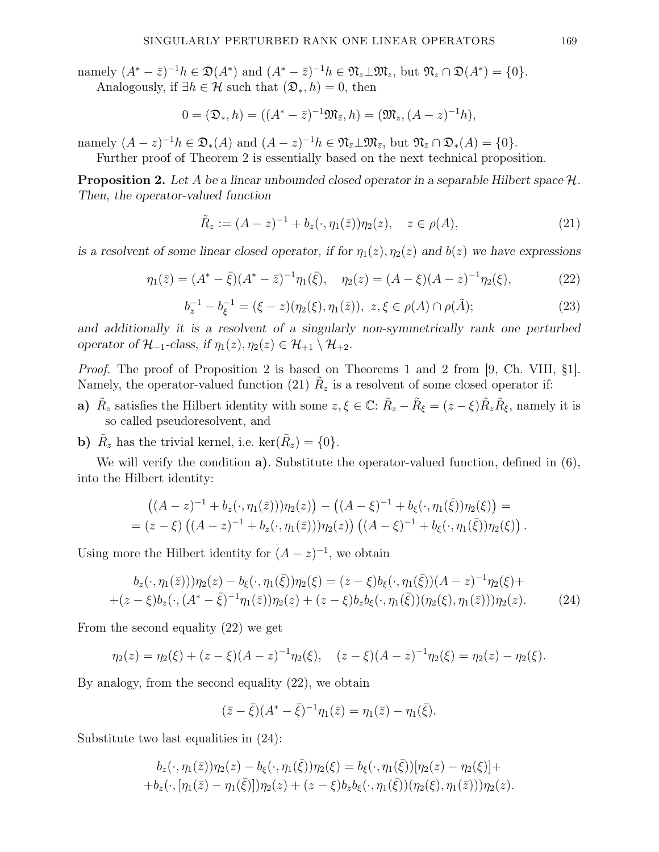namely  $(A^* - \bar{z})^{-1}h \in \mathfrak{D}(A^*)$  and  $(A^* - \bar{z})^{-1}h \in \mathfrak{N}_z \perp \mathfrak{M}_z$ , but  $\mathfrak{N}_z \cap \mathfrak{D}(A^*) = \{0\}.$ 

Analogously, if  $\exists h \in \mathcal{H}$  such that  $(\mathfrak{D}_*, h) = 0$ , then

$$
0 = (\mathfrak{D}_{*}, h) = ((A^{*} - \bar{z})^{-1} \mathfrak{M}_{\bar{z}}, h) = (\mathfrak{M}_{z}, (A - z)^{-1} h),
$$

namely  $(A-z)^{-1}h \in \mathfrak{D}_*(A)$  and  $(A-z)^{-1}h \in \mathfrak{N}_{\bar{z}} \perp \mathfrak{M}_{\bar{z}}$ , but  $\mathfrak{N}_{\bar{z}} \cap \mathfrak{D}_*(A) = \{0\}.$ 

Further proof of Theorem 2 is essentially based on the next technical proposition.

**Proposition 2.** Let A be a linear unbounded closed operator in a separable Hilbert space  $\mathcal{H}$ . Then, the operator-valued function

$$
\tilde{R}_z := (A - z)^{-1} + b_z(\cdot, \eta_1(\bar{z}))\eta_2(z), \quad z \in \rho(A), \tag{21}
$$

is a resolvent of some linear closed operator, if for  $\eta_1(z)$ ,  $\eta_2(z)$  and  $b(z)$  we have expressions

$$
\eta_1(\bar{z}) = (A^* - \bar{\xi})(A^* - \bar{z})^{-1}\eta_1(\bar{\xi}), \quad \eta_2(z) = (A - \xi)(A - z)^{-1}\eta_2(\xi), \tag{22}
$$

$$
b_z^{-1} - b_{\xi}^{-1} = (\xi - z)(\eta_2(\xi), \eta_1(\bar{z})), \ z, \xi \in \rho(A) \cap \rho(\tilde{A});
$$
\n(23)

and additionally it is a resolvent of a singularly non-symmetrically rank one perturbed operator of  $\mathcal{H}_{-1}$ -class, if  $\eta_1(z), \eta_2(z) \in \mathcal{H}_{+1} \setminus \mathcal{H}_{+2}$ .

Proof. The proof of Proposition 2 is based on Theorems 1 and 2 from [9, Ch. VIII, §1]. Namely, the operator-valued function (21)  $\tilde{R}_z$  is a resolvent of some closed operator if:

- a)  $\tilde{R}_z$  satisfies the Hilbert identity with some  $z, \xi \in \mathbb{C}$ :  $\tilde{R}_z \tilde{R}_\xi = (z \xi) \tilde{R}_z \tilde{R}_\xi$ , namely it is so called pseudoresolvent, and
- **b**)  $\tilde{R}_z$  has the trivial kernel, i.e.  $\ker(\tilde{R}_z) = \{0\}.$

We will verify the condition **a**). Substitute the operator-valued function, defined in (6), into the Hilbert identity:

$$
((A-z)^{-1} + b_z(\cdot, \eta_1(\bar{z})))\eta_2(z) - ((A-\xi)^{-1} + b_\xi(\cdot, \eta_1(\bar{\xi}))\eta_2(\xi)) =
$$
  
=  $(z-\xi) ((A-z)^{-1} + b_z(\cdot, \eta_1(\bar{z})))\eta_2(z)) ((A-\xi)^{-1} + b_\xi(\cdot, \eta_1(\bar{\xi}))\eta_2(\xi)) .$ 

Using more the Hilbert identity for  $(A-z)^{-1}$ , we obtain

$$
b_z(\cdot, \eta_1(\bar{z})))\eta_2(z) - b_\xi(\cdot, \eta_1(\bar{\xi}))\eta_2(\xi) = (z - \xi)b_\xi(\cdot, \eta_1(\bar{\xi})) (A - z)^{-1} \eta_2(\xi) + + (z - \xi)b_z(\cdot, (A^* - \bar{\xi})^{-1} \eta_1(\bar{z}))\eta_2(z) + (z - \xi)b_zb_\xi(\cdot, \eta_1(\bar{\xi})) (\eta_2(\xi), \eta_1(\bar{z})))\eta_2(z).
$$
 (24)

From the second equality (22) we get

$$
\eta_2(z) = \eta_2(\xi) + (z - \xi)(A - z)^{-1}\eta_2(\xi), \quad (z - \xi)(A - z)^{-1}\eta_2(\xi) = \eta_2(z) - \eta_2(\xi).
$$

By analogy, from the second equality (22), we obtain

$$
(\bar{z} - \bar{\xi})(A^* - \bar{\xi})^{-1}\eta_1(\bar{z}) = \eta_1(\bar{z}) - \eta_1(\bar{\xi}).
$$

Substitute two last equalities in (24):

$$
b_z(\cdot, \eta_1(\bar{z}))\eta_2(z) - b_{\xi}(\cdot, \eta_1(\bar{\xi}))\eta_2(\xi) = b_{\xi}(\cdot, \eta_1(\bar{\xi}))[\eta_2(z) - \eta_2(\xi)] ++ b_z(\cdot, [\eta_1(\bar{z}) - \eta_1(\bar{\xi})])\eta_2(z) + (z - \xi)b_z b_{\xi}(\cdot, \eta_1(\bar{\xi}))(\eta_2(\xi), \eta_1(\bar{z})))\eta_2(z).
$$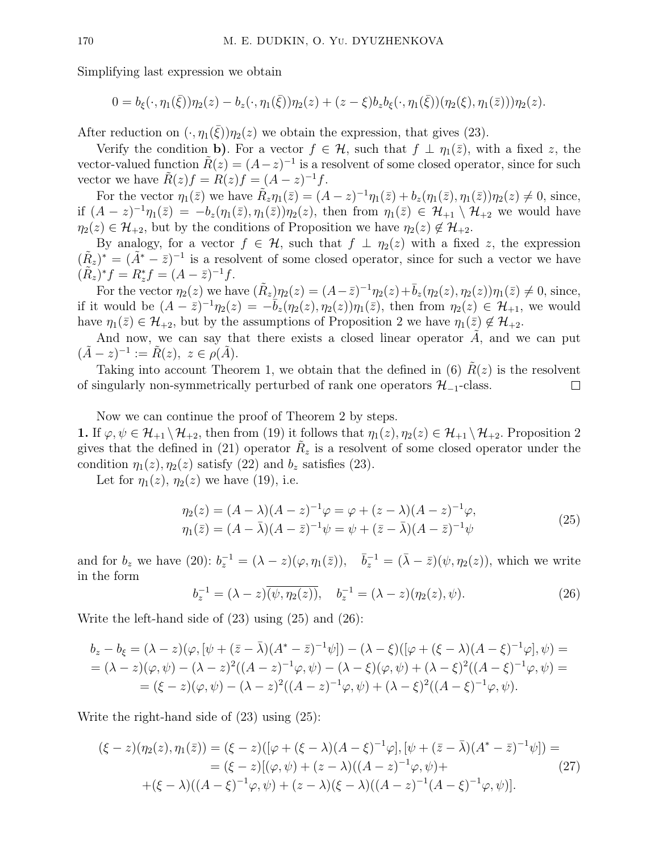Simplifying last expression we obtain

$$
0 = b_{\xi}(\cdot, \eta_1(\bar{\xi}))\eta_2(z) - b_z(\cdot, \eta_1(\bar{\xi}))\eta_2(z) + (z - \xi)b_zb_{\xi}(\cdot, \eta_1(\bar{\xi}))(\eta_2(\xi), \eta_1(\bar{z})))\eta_2(z).
$$

After reduction on  $(\cdot, \eta_1(\bar{\xi}))\eta_2(z)$  we obtain the expression, that gives (23).

Verify the condition b). For a vector  $f \in \mathcal{H}$ , such that  $f \perp \eta_1(\bar{z})$ , with a fixed z, the vector-valued function  $\tilde{R}(z) = (A - z)^{-1}$  is a resolvent of some closed operator, since for such vector we have  $\tilde{R}(z)f = R(z)f = (A - z)^{-1}f$ .

For the vector  $\eta_1(\bar{z})$  we have  $\tilde{R}_z \eta_1(\bar{z}) = (A - z)^{-1} \eta_1(\bar{z}) + b_z(\eta_1(\bar{z}), \eta_1(\bar{z})) \eta_2(z) \neq 0$ , since, if  $(A-z)^{-1}\eta_1(\bar{z}) = -b_z(\eta_1(\bar{z}), \eta_1(\bar{z}))\eta_2(z)$ , then from  $\eta_1(\bar{z}) \in \mathcal{H}_{+1} \setminus \mathcal{H}_{+2}$  we would have  $\eta_2(z) \in \mathcal{H}_{+2}$ , but by the conditions of Proposition we have  $\eta_2(z) \notin \mathcal{H}_{+2}$ .

By analogy, for a vector  $f \in \mathcal{H}$ , such that  $f \perp \eta_2(z)$  with a fixed z, the expression  $(\tilde{R}_z)^* = (\tilde{A}^* - \bar{z})^{-1}$  is a resolvent of some closed operator, since for such a vector we have  $(\tilde{R}_z)^* f = R_z^* f = (A - \bar{z})^{-1} f.$ 

For the vector  $\eta_2(z)$  we have  $(\tilde{R}_z)\eta_2(z) = (A-\overline{z})^{-1}\eta_2(z) + \overline{b}_z(\eta_2(z), \eta_2(z))\eta_1(\overline{z}) \neq 0$ , since, if it would be  $(A - \overline{z})^{-1} \eta_2(z) = -\overline{b}_z(\eta_2(z), \eta_2(z)) \eta_1(\overline{z})$ , then from  $\eta_2(z) \in \mathcal{H}_{+1}$ , we would have  $\eta_1(\bar{z}) \in \mathcal{H}_{+2}$ , but by the assumptions of Proposition 2 we have  $\eta_1(\bar{z}) \notin \mathcal{H}_{+2}$ .

And now, we can say that there exists a closed linear operator  $A$ , and we can put  $(\tilde{A} - z)^{-1} := \tilde{R}(z), \ z \in \rho(\tilde{A}).$ 

Taking into account Theorem 1, we obtain that the defined in (6)  $R(z)$  is the resolvent of singularly non-symmetrically perturbed of rank one operators  $\mathcal{H}_{-1}$ -class.  $\Box$ 

Now we can continue the proof of Theorem 2 by steps.

1. If  $\varphi, \psi \in \mathcal{H}_{+1} \setminus \mathcal{H}_{+2}$ , then from (19) it follows that  $\eta_1(z), \eta_2(z) \in \mathcal{H}_{+1} \setminus \mathcal{H}_{+2}$ . Proposition 2 gives that the defined in (21) operator  $R_z$  is a resolvent of some closed operator under the condition  $\eta_1(z), \eta_2(z)$  satisfy (22) and  $b_z$  satisfies (23).

Let for  $\eta_1(z)$ ,  $\eta_2(z)$  we have (19), i.e.

$$
\eta_2(z) = (A - \lambda)(A - z)^{-1}\varphi = \varphi + (z - \lambda)(A - z)^{-1}\varphi, \n\eta_1(\bar{z}) = (A - \bar{\lambda})(A - \bar{z})^{-1}\psi = \psi + (\bar{z} - \bar{\lambda})(A - \bar{z})^{-1}\psi
$$
\n(25)

and for  $b_z$  we have (20):  $b_z^{-1} = (\lambda - z)(\varphi, \eta_1(\bar{z}))$ ,  $\bar{b}_z^{-1} = (\bar{\lambda} - \bar{z})(\psi, \eta_2(z))$ , which we write in the form

$$
b_z^{-1} = (\lambda - z)(\overline{\psi, \eta_2(z))}, \quad b_z^{-1} = (\lambda - z)(\eta_2(z), \psi). \tag{26}
$$

Write the left-hand side of (23) using (25) and (26):

$$
b_z - b_{\xi} = (\lambda - z)(\varphi, [\psi + (\bar{z} - \bar{\lambda})(A^* - \bar{z})^{-1}\psi]) - (\lambda - \xi)([\varphi + (\xi - \lambda)(A - \xi)^{-1}\varphi], \psi) =
$$
  
=  $(\lambda - z)(\varphi, \psi) - (\lambda - z)^2((A - z)^{-1}\varphi, \psi) - (\lambda - \xi)(\varphi, \psi) + (\lambda - \xi)^2((A - \xi)^{-1}\varphi, \psi) =$   
=  $(\xi - z)(\varphi, \psi) - (\lambda - z)^2((A - z)^{-1}\varphi, \psi) + (\lambda - \xi)^2((A - \xi)^{-1}\varphi, \psi).$ 

Write the right-hand side of (23) using (25):

$$
(\xi - z)(\eta_2(z), \eta_1(\bar{z})) = (\xi - z)([\varphi + (\xi - \lambda)(A - \xi)^{-1}\varphi], [\psi + (\bar{z} - \bar{\lambda})(A^* - \bar{z})^{-1}\psi]) =
$$
  
= (\xi - z)[(\varphi, \psi) + (z - \lambda)((A - z)^{-1}\varphi, \psi) +  
+(\xi - \lambda)((A - \xi)^{-1}\varphi, \psi) + (z - \lambda)(\xi - \lambda)((A - z)^{-1}(A - \xi)^{-1}\varphi, \psi)]. (27)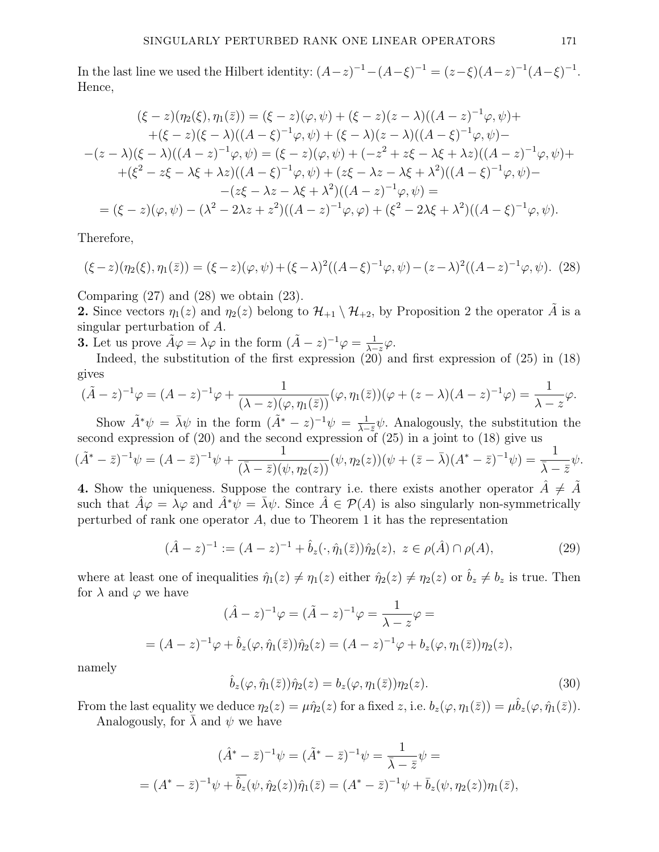In the last line we used the Hilbert identity:  $(A-z)^{-1} - (A-\xi)^{-1} = (z-\xi)(A-z)^{-1}(A-\xi)^{-1}$ . Hence,

$$
(\xi - z)(\eta_2(\xi), \eta_1(\bar{z})) = (\xi - z)(\varphi, \psi) + (\xi - z)(z - \lambda)((A - z)^{-1}\varphi, \psi) +
$$
  
+ (\xi - z)(\xi - \lambda)((A - \xi)^{-1}\varphi, \psi) + (\xi - \lambda)(z - \lambda)((A - \xi)^{-1}\varphi, \psi) -  
- (z - \lambda)(\xi - \lambda)((A - z)^{-1}\varphi, \psi) = (\xi - z)(\varphi, \psi) + (-z^2 + z\xi - \lambda\xi + \lambda z)((A - z)^{-1}\varphi, \psi) +  
+ (\xi^2 - z\xi - \lambda\xi + \lambda z)((A - \xi)^{-1}\varphi, \psi) + (z\xi - \lambda z - \lambda\xi + \lambda^2)((A - \xi)^{-1}\varphi, \psi) -  
- (z\xi - \lambda z - \lambda\xi + \lambda^2)((A - z)^{-1}\varphi, \psi) =  
= (\xi - z)(\varphi, \psi) - (\lambda^2 - 2\lambda z + z^2)((A - z)^{-1}\varphi, \varphi) + (\xi^2 - 2\lambda\xi + \lambda^2)((A - \xi)^{-1}\varphi, \psi).

Therefore,

$$
(\xi - z)(\eta_2(\xi), \eta_1(\bar{z})) = (\xi - z)(\varphi, \psi) + (\xi - \lambda)^2((A - \xi)^{-1}\varphi, \psi) - (z - \lambda)^2((A - z)^{-1}\varphi, \psi). \tag{28}
$$

Comparing  $(27)$  and  $(28)$  we obtain  $(23)$ .

**2.** Since vectors  $\eta_1(z)$  and  $\eta_2(z)$  belong to  $\mathcal{H}_{+1} \setminus \mathcal{H}_{+2}$ , by Proposition 2 the operator  $\tilde{A}$  is a singular perturbation of A.

**3.** Let us prove  $\tilde{A}\varphi = \lambda\varphi$  in the form  $(\tilde{A} - z)^{-1}\varphi = \frac{1}{\lambda - \lambda}$  $\frac{1}{\lambda-z}\varphi.$ 

Indeed, the substitution of the first expression (20) and first expression of (25) in (18) gives

$$
(\tilde{A}-z)^{-1}\varphi=(A-z)^{-1}\varphi+\frac{1}{(\lambda-z)(\varphi,\eta_1(\bar{z}))}(\varphi,\eta_1(\bar{z}))(\varphi+(z-\lambda)(A-z)^{-1}\varphi)=\frac{1}{\lambda-z}\varphi.
$$

Show  $\tilde{A}^*\psi = \bar{\lambda}\psi$  in the form  $(\tilde{A}^* - z)^{-1}\psi = \frac{1}{\lambda - \bar{z}}\psi$ . Analogously, the substitution the second expression of (20) and the second expression of (25) in a joint to (18) give us

$$
(\tilde{A}^* - \bar{z})^{-1}\psi = (A - \bar{z})^{-1}\psi + \frac{1}{(\bar{\lambda} - \bar{z})(\psi, \eta_2(z))}(\psi, \eta_2(z))(\psi + (\bar{z} - \bar{\lambda})(A^* - \bar{z})^{-1}\psi) = \frac{1}{\bar{\lambda} - \bar{z}}\psi.
$$

4. Show the uniqueness. Suppose the contrary i.e. there exists another operator  $A \neq A$ such that  $\hat{A}\varphi = \lambda\varphi$  and  $\hat{A}^*\psi = \overline{\lambda}\psi$ . Since  $\hat{A} \in \mathcal{P}(A)$  is also singularly non-symmetrically perturbed of rank one operator  $A$ , due to Theorem 1 it has the representation

$$
(\hat{A} - z)^{-1} := (A - z)^{-1} + \hat{b}_z(\cdot, \hat{\eta}_1(\bar{z}))\hat{\eta}_2(z), \ z \in \rho(\hat{A}) \cap \rho(A), \tag{29}
$$

where at least one of inequalities  $\hat{\eta}_1(z) \neq \eta_1(z)$  either  $\hat{\eta}_2(z) \neq \eta_2(z)$  or  $\hat{b}_z \neq b_z$  is true. Then for  $\lambda$  and  $\varphi$  we have

$$
(\hat{A} - z)^{-1} \varphi = (\tilde{A} - z)^{-1} \varphi = \frac{1}{\lambda - z} \varphi =
$$
  
=  $(A - z)^{-1} \varphi + \hat{b}_z(\varphi, \hat{\eta}_1(\bar{z})) \hat{\eta}_2(z) = (A - z)^{-1} \varphi + b_z(\varphi, \eta_1(\bar{z})) \eta_2(z),$ 

namely

$$
\hat{b}_z(\varphi, \hat{\eta}_1(\bar{z}))\hat{\eta}_2(z) = b_z(\varphi, \eta_1(\bar{z}))\eta_2(z).
$$
\n(30)

From the last equality we deduce  $\eta_2(z) = \mu \hat{\eta}_2(z)$  for a fixed z, i.e.  $b_z(\varphi, \eta_1(\bar{z})) = \mu \hat{b}_z(\varphi, \hat{\eta}_1(\bar{z}))$ .

Analogously, for  $\lambda$  and  $\psi$  we have

$$
(\hat{A}^* - \bar{z})^{-1}\psi = (\tilde{A}^* - \bar{z})^{-1}\psi = \frac{1}{\bar{\lambda} - \bar{z}}\psi =
$$
  
=  $(A^* - \bar{z})^{-1}\psi + \overline{\hat{b}_z}(\psi, \hat{\eta}_2(z))\hat{\eta}_1(\bar{z}) = (A^* - \bar{z})^{-1}\psi + \overline{b}_z(\psi, \eta_2(z))\eta_1(\bar{z}),$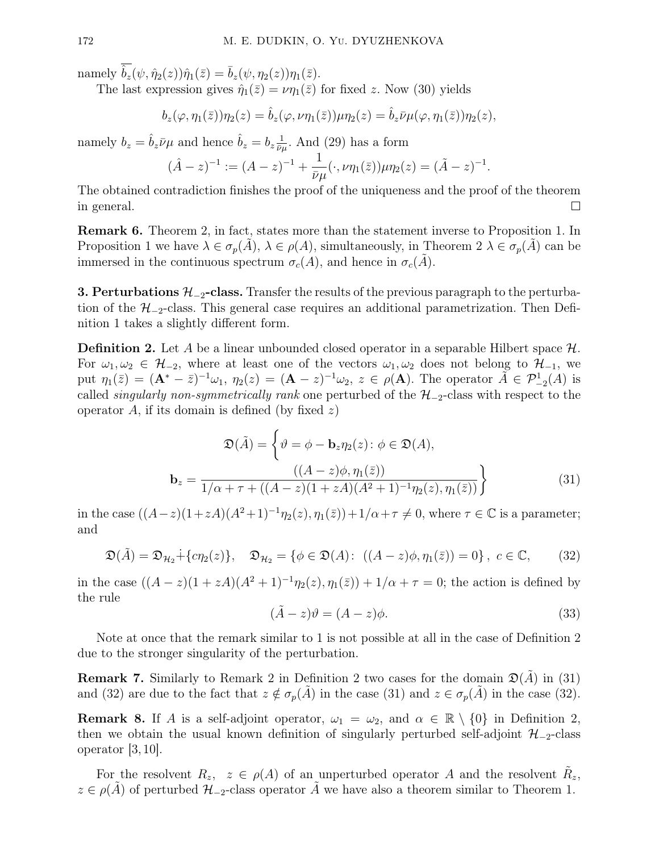namely  $\overline{\hat{b}_z}(\psi, \hat{\eta}_2(z))\hat{\eta}_1(\bar{z}) = \overline{b}_z(\psi, \eta_2(z))\eta_1(\bar{z}).$ 

The last expression gives  $\hat{\eta}_1(\bar{z}) = \nu \eta_1(\bar{z})$  for fixed z. Now (30) yields

$$
b_z(\varphi, \eta_1(\bar{z}))\eta_2(z) = \hat{b}_z(\varphi, \nu\eta_1(\bar{z}))\mu\eta_2(z) = \hat{b}_z\bar{\nu}\mu(\varphi, \eta_1(\bar{z}))\eta_2(z),
$$

namely  $b_z = \hat{b}_z \bar{\nu} \mu$  and hence  $\hat{b}_z = b_z \frac{1}{\bar{\nu} \mu}$  $\frac{1}{\bar{\nu}\mu}$ . And (29) has a form

$$
(\hat{A} - z)^{-1} := (A - z)^{-1} + \frac{1}{\bar{\nu}\mu}(\cdot, \nu\eta_1(\bar{z}))\mu\eta_2(z) = (\tilde{A} - z)^{-1}.
$$

The obtained contradiction finishes the proof of the uniqueness and the proof of the theorem in general.  $\Box$ 

Remark 6. Theorem 2, in fact, states more than the statement inverse to Proposition 1. In Proposition 1 we have  $\lambda \in \sigma_p(A)$ ,  $\lambda \in \rho(A)$ , simultaneously, in Theorem  $2 \lambda \in \sigma_p(A)$  can be immersed in the continuous spectrum  $\sigma_c(A)$ , and hence in  $\sigma_c(A)$ .

**3. Perturbations**  $\mathcal{H}_{-2}$ **-class.** Transfer the results of the previous paragraph to the perturbation of the  $\mathcal{H}_{-2}$ -class. This general case requires an additional parametrization. Then Definition 1 takes a slightly different form.

**Definition 2.** Let A be a linear unbounded closed operator in a separable Hilbert space  $\mathcal{H}$ . For  $\omega_1, \omega_2 \in \mathcal{H}_{-2}$ , where at least one of the vectors  $\omega_1, \omega_2$  does not belong to  $\mathcal{H}_{-1}$ , we put  $\eta_1(\bar{z}) = (\mathbf{A}^* - \bar{z})^{-1}\omega_1$ ,  $\eta_2(z) = (\mathbf{A} - z)^{-1}\omega_2$ ,  $z \in \rho(\mathbf{A})$ . The operator  $\tilde{A} \in \mathcal{P}_{-2}^1(A)$  is called *singularly non-symmetrically rank* one perturbed of the  $H_{-2}$ -class with respect to the operator A, if its domain is defined (by fixed  $z$ )

$$
\mathfrak{D}(\tilde{A}) = \left\{ \vartheta = \phi - \mathbf{b}_z \eta_2(z) : \phi \in \mathfrak{D}(A), \n\underline{\mathbf{b}}_z = \frac{((A-z)\phi, \eta_1(\bar{z}))}{1/\alpha + \tau + ((A-z)(1+zA)(A^2+1)^{-1}\eta_2(z), \eta_1(\bar{z}))} \right\}
$$
\n(31)

in the case  $((A-z)(1+zA)(A^2+1)^{-1}\eta_2(z), \eta_1(\bar{z}))+1/\alpha+\tau\neq 0$ , where  $\tau\in\mathbb{C}$  is a parameter; and

$$
\mathfrak{D}(\tilde{A}) = \mathfrak{D}_{\mathcal{H}_2} + \{c\eta_2(z)\}, \quad \mathfrak{D}_{\mathcal{H}_2} = \{ \phi \in \mathfrak{D}(A): \ ((A - z)\phi, \eta_1(\bar{z})) = 0 \}, \ c \in \mathbb{C}, \tag{32}
$$

in the case  $((A - z)(1 + zA)(A^{2} + 1)^{-1}\eta_{2}(z), \eta_{1}(z)) + 1/\alpha + \tau = 0$ ; the action is defined by the rule

$$
(\tilde{A} - z)\vartheta = (A - z)\phi.
$$
\n(33)

Note at once that the remark similar to 1 is not possible at all in the case of Definition 2 due to the stronger singularity of the perturbation.

**Remark 7.** Similarly to Remark 2 in Definition 2 two cases for the domain  $\mathfrak{D}(A)$  in (31) and (32) are due to the fact that  $z \notin \sigma_p(\tilde{A})$  in the case (31) and  $z \in \sigma_p(\tilde{A})$  in the case (32).

**Remark 8.** If A is a self-adjoint operator,  $\omega_1 = \omega_2$ , and  $\alpha \in \mathbb{R} \setminus \{0\}$  in Definition 2, then we obtain the usual known definition of singularly perturbed self-adjoint  $\mathcal{H}_{-2}$ -class operator [3, 10].

For the resolvent  $R_z$ ,  $z \in \rho(A)$  of an unperturbed operator A and the resolvent  $\tilde{R}_z$ ,  $z \in \rho(A)$  of perturbed  $\mathcal{H}_{-2}$ -class operator A we have also a theorem similar to Theorem 1.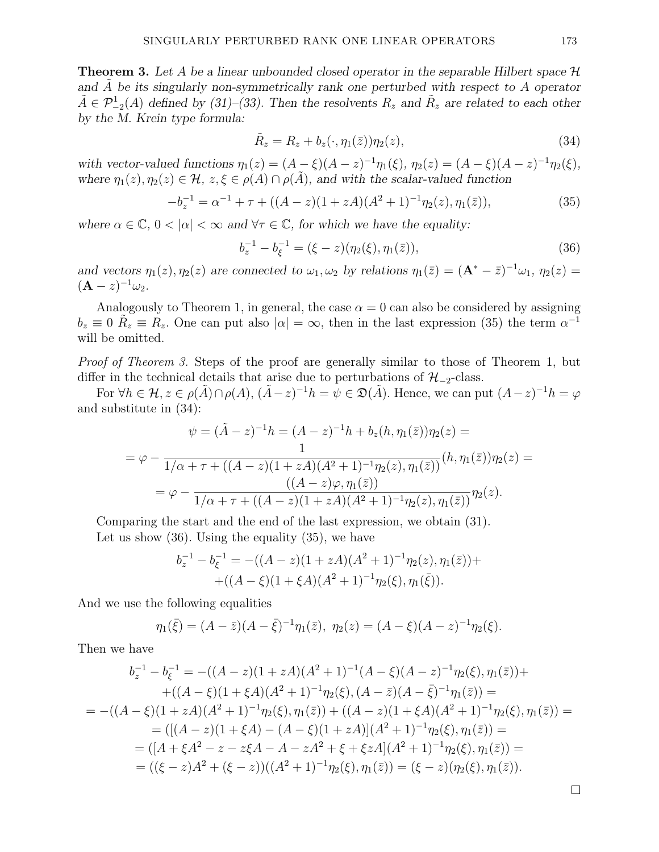**Theorem 3.** Let A be a linear unbounded closed operator in the separable Hilbert space  $\mathcal{H}$ and  $\overline{A}$  be its singularly non-symmetrically rank one perturbed with respect to  $\overline{A}$  operator  $\tilde{A} \in \mathcal{P}_{-2}^1(A)$  defined by (31)–(33). Then the resolvents  $R_z$  and  $\tilde{R}_z$  are related to each other by the M. Krein type formula:

$$
\tilde{R}_z = R_z + b_z(\cdot, \eta_1(\bar{z}))\eta_2(z),\tag{34}
$$

with vector-valued functions  $\eta_1(z) = (A - \xi)(A - z)^{-1} \eta_1(\xi), \ \eta_2(z) = (A - \xi)(A - z)^{-1} \eta_2(\xi),$ where  $\eta_1(z), \eta_2(z) \in \mathcal{H}, z, \xi \in \rho(A) \cap \rho(\tilde{A})$ , and with the scalar-valued function

$$
-b_z^{-1} = \alpha^{-1} + \tau + ((A - z)(1 + zA)(A^2 + 1)^{-1} \eta_2(z), \eta_1(\bar{z})),
$$
\n(35)

where  $\alpha \in \mathbb{C}, 0 < |\alpha| < \infty$  and  $\forall \tau \in \mathbb{C}$ , for which we have the equality:

$$
b_z^{-1} - b_{\xi}^{-1} = (\xi - z)(\eta_2(\xi), \eta_1(\bar{z})), \tag{36}
$$

and vectors  $\eta_1(z), \eta_2(z)$  are connected to  $\omega_1, \omega_2$  by relations  $\eta_1(\bar{z}) = (\mathbf{A}^* - \bar{z})^{-1}\omega_1$ ,  $\eta_2(z) =$  $(\mathbf{A} - z)^{-1} \omega_2.$ 

Analogously to Theorem 1, in general, the case  $\alpha = 0$  can also be considered by assigning  $b_z \equiv 0 \bar{R}_z \equiv R_z$ . One can put also  $|\alpha| = \infty$ , then in the last expression (35) the term  $\alpha^{-1}$ will be omitted.

Proof of Theorem 3. Steps of the proof are generally similar to those of Theorem 1, but differ in the technical details that arise due to perturbations of  $\mathcal{H}_{-2}$ -class.

For  $\forall h \in \mathcal{H}, z \in \rho(\tilde{A}) \cap \rho(A), (\tilde{A}-z)^{-1}h = \psi \in \mathfrak{D}(\tilde{A})$ . Hence, we can put  $(A-z)^{-1}h = \varphi$ and substitute in (34):

$$
\psi = (\tilde{A} - z)^{-1}h = (A - z)^{-1}h + b_z(h, \eta_1(\bar{z}))\eta_2(z) =
$$
  

$$
= \varphi - \frac{1}{1/\alpha + \tau + ((A - z)(1 + zA)(A^2 + 1)^{-1}\eta_2(z), \eta_1(\bar{z}))}(h, \eta_1(\bar{z}))\eta_2(z) =
$$
  

$$
= \varphi - \frac{((A - z)\varphi, \eta_1(\bar{z}))}{1/\alpha + \tau + ((A - z)(1 + zA)(A^2 + 1)^{-1}\eta_2(z), \eta_1(\bar{z}))}\eta_2(z).
$$

Comparing the start and the end of the last expression, we obtain (31).

Let us show (36). Using the equality (35), we have

$$
b_z^{-1} - b_{\xi}^{-1} = -((A - z)(1 + zA)(A^2 + 1)^{-1} \eta_2(z), \eta_1(\bar{z})) +
$$
  
 
$$
+ ((A - \xi)(1 + \xi A)(A^2 + 1)^{-1} \eta_2(\xi), \eta_1(\bar{\xi})).
$$

And we use the following equalities

$$
\eta_1(\bar{\xi}) = (A - \bar{z})(A - \bar{\xi})^{-1}\eta_1(\bar{z}), \ \eta_2(z) = (A - \xi)(A - z)^{-1}\eta_2(\xi).
$$

Then we have

$$
b_z^{-1} - b_{\xi}^{-1} = -((A - z)(1 + zA)(A^2 + 1)^{-1}(A - \xi)(A - z)^{-1}\eta_2(\xi), \eta_1(\bar{z})) +
$$
  
+((A - \xi)(1 + \xi A)(A^2 + 1)^{-1}\eta\_2(\xi), (A - \bar{z})(A - \bar{\xi})^{-1}\eta\_1(\bar{z})) =  
= -((A - \xi)(1 + zA)(A^2 + 1)^{-1}\eta\_2(\xi), \eta\_1(\bar{z})) + ((A - z)(1 + \xi A)(A^2 + 1)^{-1}\eta\_2(\xi), \eta\_1(\bar{z})) =  
= ([(A - z)(1 + \xi A) - (A - \xi)(1 + zA)](A^2 + 1)^{-1}\eta\_2(\xi), \eta\_1(\bar{z})) =  
= ([A + \xi A^2 - z - z\xi A - A - zA^2 + \xi + \xi zA](A^2 + 1)^{-1}\eta\_2(\xi), \eta\_1(\bar{z})) =  
= ((\xi - z)A^2 + (\xi - z))((A^2 + 1)^{-1}\eta\_2(\xi), \eta\_1(\bar{z})) = (\xi - z)(\eta\_2(\xi), \eta\_1(\bar{z})).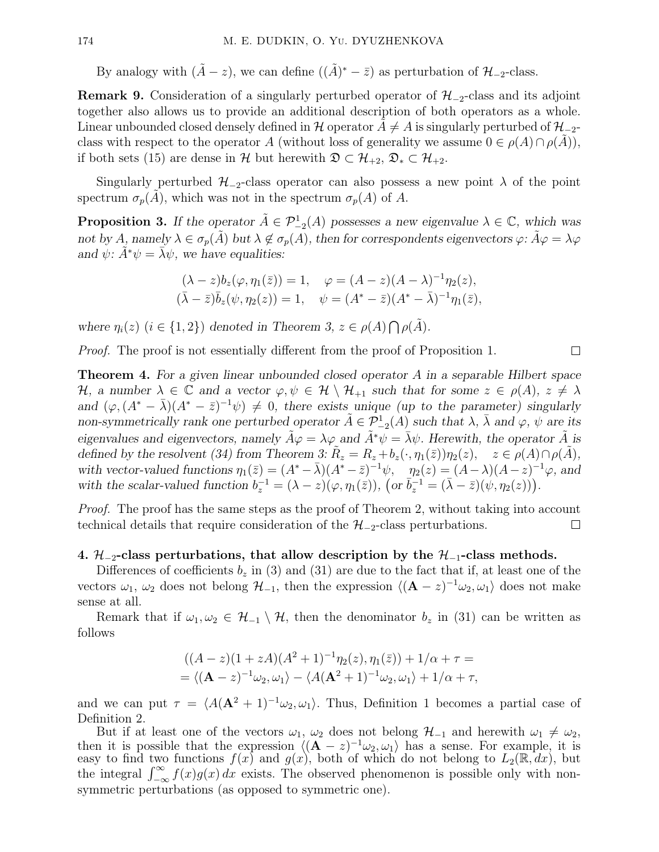By analogy with  $(\tilde{A} - z)$ , we can define  $((\tilde{A})^* - \bar{z})$  as perturbation of  $\mathcal{H}_{-2}$ -class.

**Remark 9.** Consideration of a singularly perturbed operator of  $\mathcal{H}_{-2}$ -class and its adjoint together also allows us to provide an additional description of both operators as a whole. Linear unbounded closed densely defined in H operator  $A \neq A$  is singularly perturbed of  $\mathcal{H}_{-2}$ class with respect to the operator A (without loss of generality we assume  $0 \in \rho(A) \cap \rho(A)$ ), if both sets (15) are dense in H but herewith  $\mathfrak{D} \subset \mathcal{H}_{+2}, \mathfrak{D}_* \subset \mathcal{H}_{+2}.$ 

Singularly perturbed  $\mathcal{H}_{-2}$ -class operator can also possess a new point  $\lambda$  of the point spectrum  $\sigma_p(A)$ , which was not in the spectrum  $\sigma_p(A)$  of A.

**Proposition 3.** If the operator  $\tilde{A} \in \mathcal{P}_{-2}^1(A)$  possesses a new eigenvalue  $\lambda \in \mathbb{C}$ , which was not by A, namely  $\lambda \in \sigma_p(\tilde{A})$  but  $\lambda \notin \sigma_p(A)$ , then for correspondents eigenvectors  $\varphi: \tilde{A}\varphi = \lambda\varphi$ and  $\psi$ :  $A^*\psi = \overline{\lambda}\psi$ , we have equalities:

$$
(\lambda - z) b_z(\varphi, \eta_1(\bar{z})) = 1, \quad \varphi = (A - z)(A - \lambda)^{-1} \eta_2(z), (\bar{\lambda} - \bar{z}) \bar{b}_z(\psi, \eta_2(z)) = 1, \quad \psi = (A^* - \bar{z})(A^* - \bar{\lambda})^{-1} \eta_1(\bar{z}),
$$

where  $\eta_i(z)$   $(i \in \{1,2\})$  denoted in Theorem 3,  $z \in \rho(A) \bigcap \rho(\tilde{A})$ .

Proof. The proof is not essentially different from the proof of Proposition 1.

 $\Box$ 

Theorem 4. For a given linear unbounded closed operator A in a separable Hilbert space H, a number  $\lambda \in \mathbb{C}$  and a vector  $\varphi, \psi \in \mathcal{H} \setminus \mathcal{H}_{+1}$  such that for some  $z \in \rho(A), z \neq \lambda$ and  $(\varphi, (A^* - \bar{\lambda})(A^* - \bar{z})^{-1}\psi) \neq 0$ , there exists unique (up to the parameter) singularly non-symmetrically rank one perturbed operator  $\tilde{A} \in \mathcal{P}_{-2}^1(A)$  such that  $\lambda$ ,  $\bar{\lambda}$  and  $\varphi$ ,  $\psi$  are its eigenvalues and eigenvectors, namely  $\hat{A}\varphi = \lambda\varphi$  and  $\hat{A}^*\psi = \bar{\lambda}\psi$ . Herewith, the operator  $\hat{A}$  is defined by the resolvent (34) from Theorem 3:  $\tilde{R}_z = R_z + b_z(\cdot, \eta_1(\bar{z}))\eta_2(z)$ ,  $z \in \rho(A) \cap \rho(\tilde{A})$ , with vector-valued functions  $\eta_1(\bar{z}) = (A^* - \bar{\lambda})(A^* - \bar{z})^{-1}\psi$ ,  $\eta_2(z) = (A - \lambda)(A - z)^{-1}\varphi$ , and with the scalar-valued function  $b_z^{-1} = (\lambda - z)(\varphi, \eta_1(\bar{z}))$ ,  $\left(\text{or } \bar{b}_z^{-1} = (\bar{\lambda} - \bar{z})(\psi, \eta_2(\bar{z}))\right)$ .

Proof. The proof has the same steps as the proof of Theorem 2, without taking into account technical details that require consideration of the  $\mathcal{H}_{-2}$ -class perturbations.  $\Box$ 

## 4.  $\mathcal{H}_{-2}$ -class perturbations, that allow description by the  $\mathcal{H}_{-1}$ -class methods.

Differences of coefficients  $b_z$  in (3) and (31) are due to the fact that if, at least one of the vectors  $\omega_1, \omega_2$  does not belong  $\mathcal{H}_{-1}$ , then the expression  $\langle (\mathbf{A} - z)^{-1} \omega_2, \omega_1 \rangle$  does not make sense at all.

Remark that if  $\omega_1, \omega_2 \in \mathcal{H}_{-1} \setminus \mathcal{H}$ , then the denominator  $b_z$  in (31) can be written as follows

$$
((A-z)(1+zA)(A2+1)-1η2(z), η1(\bar{z})) + 1/α + τ == \langle (\mathbf{A}-z)-1ω2, ω1 \rangle - \langle A(\mathbf{A}^{2}+1)-1ω2, ω1 \rangle + 1/α + τ,
$$

and we can put  $\tau = \langle A(\mathbf{A}^2 + 1)^{-1}\omega_2, \omega_1 \rangle$ . Thus, Definition 1 becomes a partial case of Definition 2.

But if at least one of the vectors  $\omega_1$ ,  $\omega_2$  does not belong  $\mathcal{H}_{-1}$  and herewith  $\omega_1 \neq \omega_2$ , then it is possible that the expression  $\langle (A - z)^{-1} \omega_2, \omega_1 \rangle$  has a sense. For example, it is easy to find two functions  $f(x)$  and  $g(x)$ , both of which do not belong to  $L_2(\mathbb{R}, dx)$ , but the integral  $\int_{-\infty}^{\infty} f(x)g(x) dx$  exists. The observed phenomenon is possible only with nonsymmetric perturbations (as opposed to symmetric one).